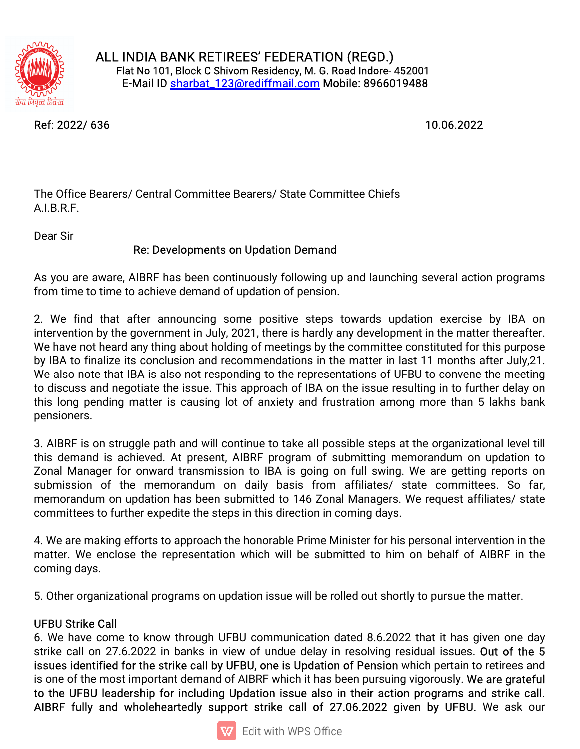

ALL INDIA BANK RETIREES' FEDERATION (REGD.) Flat No 101, Block C Shivom Residency, M. G. Road Indore- 452001 E-Mail ID sharbat\_123@rediffmail.com Mobile: 8966019488

Ref:2022/636 10.06.2022

The Office Bearers/ Central Committee Bearers/ State Committee Chiefs A.I.B.R.F.

Dear Sir

## Re: Developments on Updation Demand

As you are aware, AIBRF has been continuously following up and launching several action programs from time to time to achieve demand of updation of pension.

2. We find that after announcing some positive steps towards updation exercise by IBA on intervention by the government in July, 2021, there is hardly any development in the matter thereafter. We have not heard any thing about holding of meetings by the committee constituted for this purpose by IBA to finalize its conclusion and recommendations in the matter in last 11 months after July,21. We also note that IBA is also not responding to the representations of UFBU to convene the meeting to discuss and negotiate the issue. This approach of IBA on the issue resulting in to further delay on this long pending matter is causing lot of anxiety and frustration among more than 5 lakhs bank pensioners.

3. AIBRF is on struggle path and will continue to take all possible steps at the organizational level till this demand is achieved. At present, AIBRF program of submitting memorandum on updation to Zonal Manager for onward transmission to IBA is going on full swing. We are getting reports on submission of the memorandum on daily basis from affiliates/ state committees. So far, memorandum on updation has been submitted to 146 Zonal Managers. We request affiliates/ state committees to further expedite the steps in this direction in coming days.

4. We are making efforts to approach the honorable Prime Minister for his personal intervention in the matter. We enclose the representation which will be submitted to him on behalf of AIBRF in the coming days.

5. Other organizational programs on updation issue will be rolled out shortly to pursue the matter.

## **UFBU Strike Call**

6. We have come to know through UFBU communication dated 8.6.2022 that it has given one day strike call on 27.6.2022 in banks in view of undue delay in resolving residual issues. Out of the 5 issues identified for the strike call by UFBU, one is Updation of Pension which pertain to retirees and is one of the most important demand of AIBRF which it has been pursuing vigorously. We are grateful to the UFBU leadership for including Updation issue also in their action programs and strike call. AIBRF fully and wholeheartedly support strike call of 27.06.2022 given by UFBU. We ask our

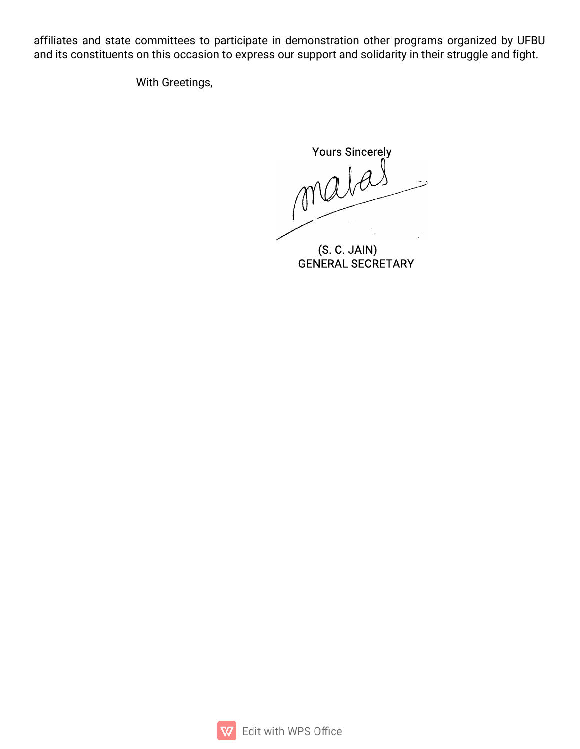affiliates and state committees to participate in demonstration other programs organized by UFBU and its constituents on this occasion to express our support and solidarity in their struggle and fight.

With Greetings,

**Yours Sincerely** malas

(S. C. JAIN)<br>GENERAL SECRETARY